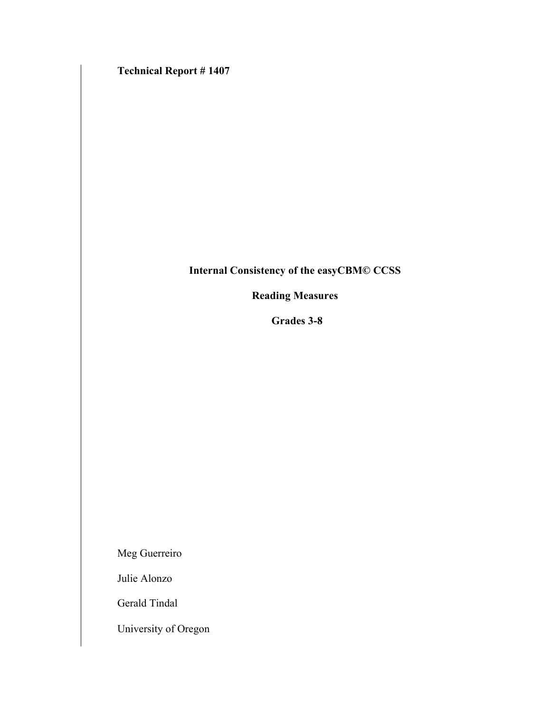**Technical Report # 1407**

# **Internal Consistency of the easyCBM© CCSS**

# **Reading Measures**

**Grades 3-8** 

Meg Guerreiro

Julie Alonzo

Gerald Tindal

University of Oregon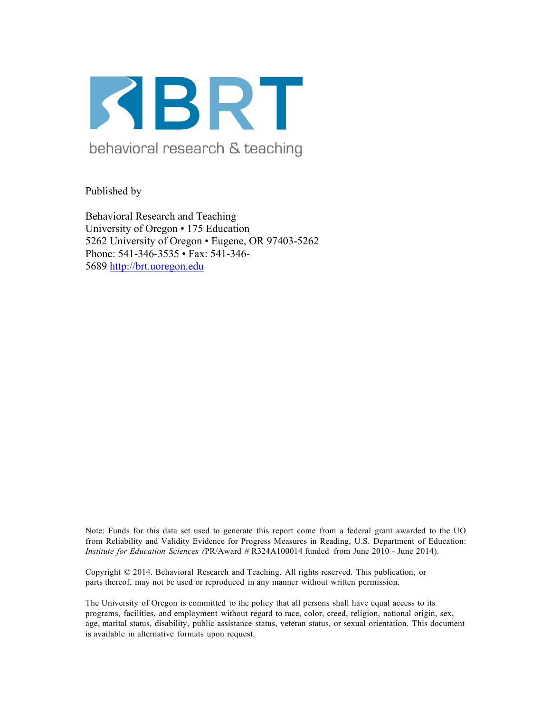

behavioral research & teaching

Published by

Behavioral Research and Teaching University of Oregon • 175 Education 5262 University of Oregon • Eugene, OR 97403-5262 Phone: 541-346-3535 • Fax: 541-346- 5689 http://brt.uoregon.edu

Note: Funds for this data set used to generate this report come from a federal grant awarded to the UO from Reliability and Validity Evidence for Progress Measures in Reading, U.S. Department of Education: *Institute for Education Sciences (*PR/Award # R324A100014 funded from June 2010 - June 2014).

Copyright © 2014. Behavioral Research and Teaching. All rights reserved. This publication, or parts thereof, may not be used or reproduced in any manner without written permission.

The University of Oregon is committed to the policy that all persons shall have equal access to its programs, facilities, and employment without regard to race, color, creed, religion, national origin, sex, age, marital status, disability, public assistance status, veteran status, or sexual orientation. This document is available in alternative formats upon request.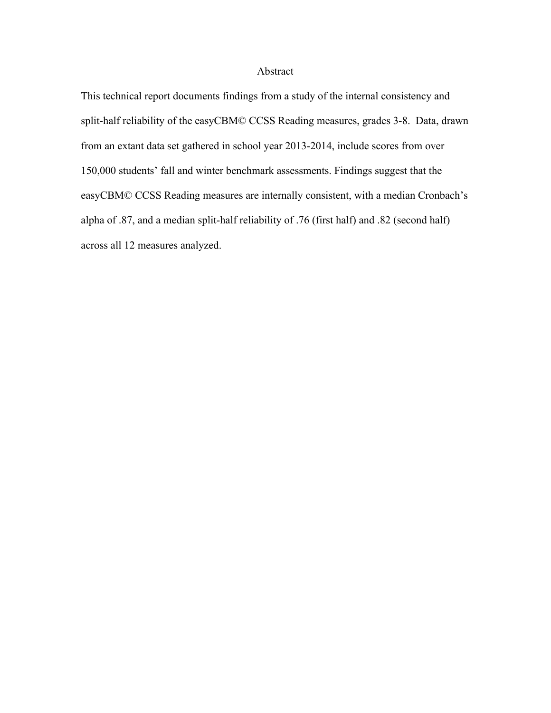### Abstract

This technical report documents findings from a study of the internal consistency and split-half reliability of the easyCBM© CCSS Reading measures, grades 3-8. Data, drawn from an extant data set gathered in school year 2013-2014, include scores from over 150,000 students' fall and winter benchmark assessments. Findings suggest that the easyCBM© CCSS Reading measures are internally consistent, with a median Cronbach's alpha of .87, and a median split-half reliability of .76 (first half) and .82 (second half) across all 12 measures analyzed.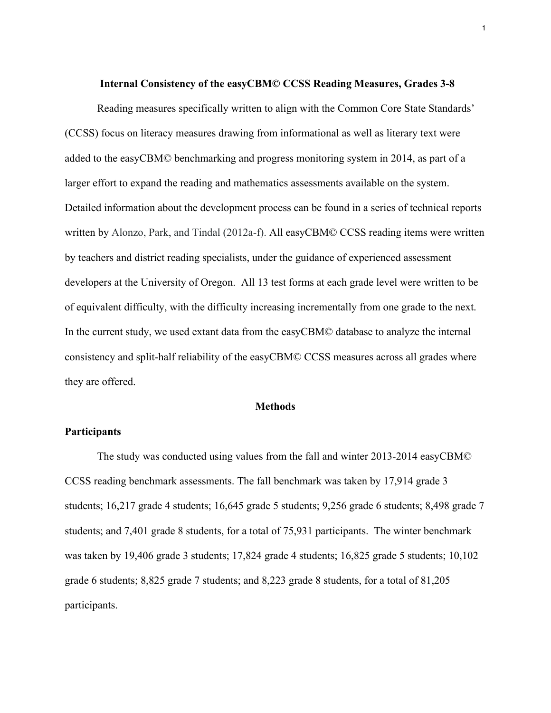#### **Internal Consistency of the easyCBM© CCSS Reading Measures, Grades 3-8**

 Reading measures specifically written to align with the Common Core State Standards' (CCSS) focus on literacy measures drawing from informational as well as literary text were added to the easyCBM© benchmarking and progress monitoring system in 2014, as part of a larger effort to expand the reading and mathematics assessments available on the system. Detailed information about the development process can be found in a series of technical reports written by Alonzo, Park, and Tindal (2012a-f). All easyCBM© CCSS reading items were written by teachers and district reading specialists, under the guidance of experienced assessment developers at the University of Oregon. All 13 test forms at each grade level were written to be of equivalent difficulty, with the difficulty increasing incrementally from one grade to the next. In the current study, we used extant data from the easyCBM© database to analyze the internal consistency and split-half reliability of the easyCBM© CCSS measures across all grades where they are offered.

#### **Methods**

### **Participants**

The study was conducted using values from the fall and winter 2013-2014 easyCBM© CCSS reading benchmark assessments. The fall benchmark was taken by 17,914 grade 3 students; 16,217 grade 4 students; 16,645 grade 5 students; 9,256 grade 6 students; 8,498 grade 7 students; and 7,401 grade 8 students, for a total of 75,931 participants. The winter benchmark was taken by 19,406 grade 3 students; 17,824 grade 4 students; 16,825 grade 5 students; 10,102 grade 6 students; 8,825 grade 7 students; and 8,223 grade 8 students, for a total of 81,205 participants.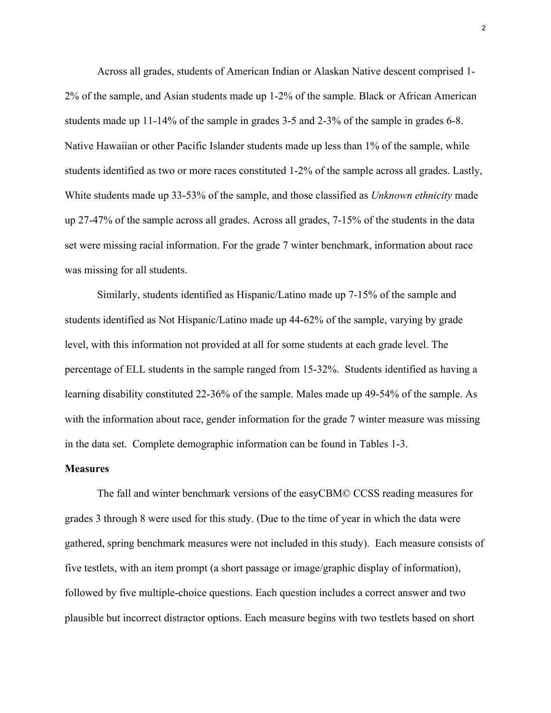Across all grades, students of American Indian or Alaskan Native descent comprised 1- 2% of the sample, and Asian students made up 1-2% of the sample. Black or African American students made up 11-14% of the sample in grades 3-5 and 2-3% of the sample in grades 6-8. Native Hawaiian or other Pacific Islander students made up less than 1% of the sample, while students identified as two or more races constituted 1-2% of the sample across all grades. Lastly, White students made up 33-53% of the sample, and those classified as *Unknown ethnicity* made up 27-47% of the sample across all grades. Across all grades, 7-15% of the students in the data set were missing racial information. For the grade 7 winter benchmark, information about race was missing for all students.

Similarly, students identified as Hispanic/Latino made up 7-15% of the sample and students identified as Not Hispanic/Latino made up 44-62% of the sample, varying by grade level, with this information not provided at all for some students at each grade level. The percentage of ELL students in the sample ranged from 15-32%. Students identified as having a learning disability constituted 22-36% of the sample. Males made up 49-54% of the sample. As with the information about race, gender information for the grade 7 winter measure was missing in the data set. Complete demographic information can be found in Tables 1-3.

#### **Measures**

The fall and winter benchmark versions of the easyCBM© CCSS reading measures for grades 3 through 8 were used for this study. (Due to the time of year in which the data were gathered, spring benchmark measures were not included in this study). Each measure consists of five testlets, with an item prompt (a short passage or image/graphic display of information), followed by five multiple-choice questions. Each question includes a correct answer and two plausible but incorrect distractor options. Each measure begins with two testlets based on short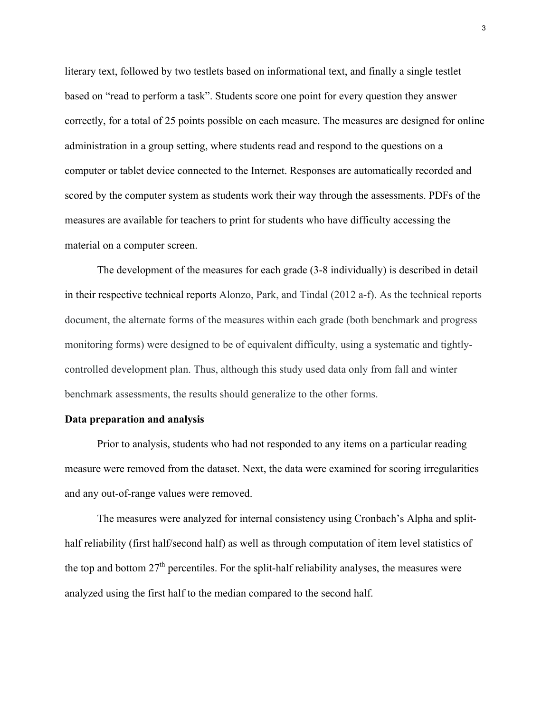literary text, followed by two testlets based on informational text, and finally a single testlet based on "read to perform a task". Students score one point for every question they answer correctly, for a total of 25 points possible on each measure. The measures are designed for online administration in a group setting, where students read and respond to the questions on a computer or tablet device connected to the Internet. Responses are automatically recorded and scored by the computer system as students work their way through the assessments. PDFs of the measures are available for teachers to print for students who have difficulty accessing the material on a computer screen.

The development of the measures for each grade (3-8 individually) is described in detail in their respective technical reports Alonzo, Park, and Tindal (2012 a-f). As the technical reports document, the alternate forms of the measures within each grade (both benchmark and progress monitoring forms) were designed to be of equivalent difficulty, using a systematic and tightlycontrolled development plan. Thus, although this study used data only from fall and winter benchmark assessments, the results should generalize to the other forms.

### **Data preparation and analysis**

Prior to analysis, students who had not responded to any items on a particular reading measure were removed from the dataset. Next, the data were examined for scoring irregularities and any out-of-range values were removed.

The measures were analyzed for internal consistency using Cronbach's Alpha and splithalf reliability (first half/second half) as well as through computation of item level statistics of the top and bottom  $27<sup>th</sup>$  percentiles. For the split-half reliability analyses, the measures were analyzed using the first half to the median compared to the second half.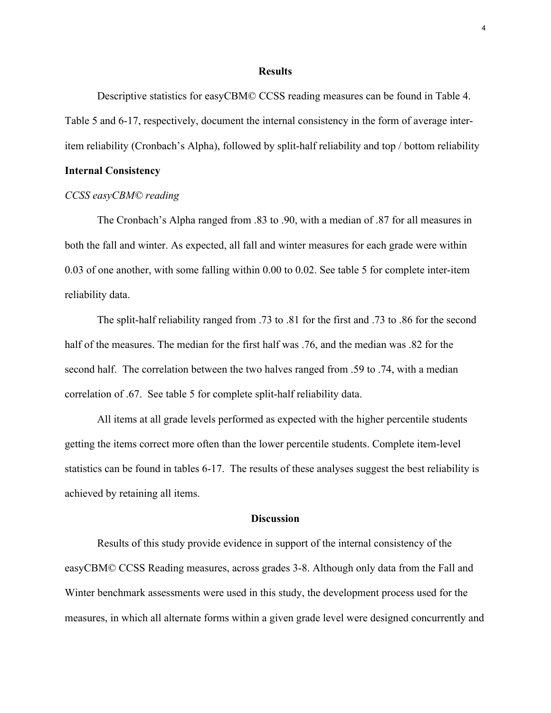#### **Results**

 Descriptive statistics for easyCBM© CCSS reading measures can be found in Table 4. Table 5 and 6-17, respectively, document the internal consistency in the form of average interitem reliability (Cronbach's Alpha), followed by split-half reliability and top / bottom reliability

### **Internal Consistency**

### *CCSS easyCBM© reading*

The Cronbach's Alpha ranged from .83 to .90, with a median of .87 for all measures in both the fall and winter. As expected, all fall and winter measures for each grade were within 0.03 of one another, with some falling within 0.00 to 0.02. See table 5 for complete inter-item reliability data.

The split-half reliability ranged from .73 to .81 for the first and .73 to .86 for the second half of the measures. The median for the first half was .76, and the median was .82 for the second half. The correlation between the two halves ranged from .59 to .74, with a median correlation of .67. See table 5 for complete split-half reliability data.

All items at all grade levels performed as expected with the higher percentile students getting the items correct more often than the lower percentile students. Complete item-level statistics can be found in tables 6-17. The results of these analyses suggest the best reliability is achieved by retaining all items.

#### **Discussion**

Results of this study provide evidence in support of the internal consistency of the easyCBM© CCSS Reading measures, across grades 3-8. Although only data from the Fall and Winter benchmark assessments were used in this study, the development process used for the measures, in which all alternate forms within a given grade level were designed concurrently and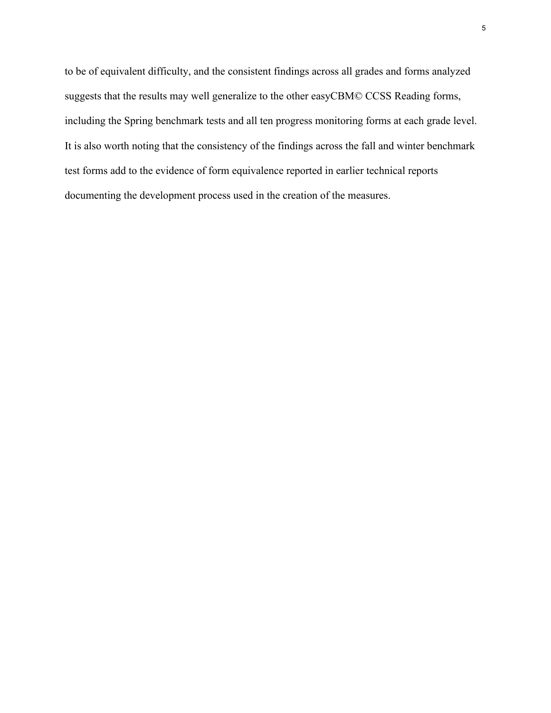to be of equivalent difficulty, and the consistent findings across all grades and forms analyzed suggests that the results may well generalize to the other easyCBM© CCSS Reading forms, including the Spring benchmark tests and all ten progress monitoring forms at each grade level. It is also worth noting that the consistency of the findings across the fall and winter benchmark test forms add to the evidence of form equivalence reported in earlier technical reports documenting the development process used in the creation of the measures.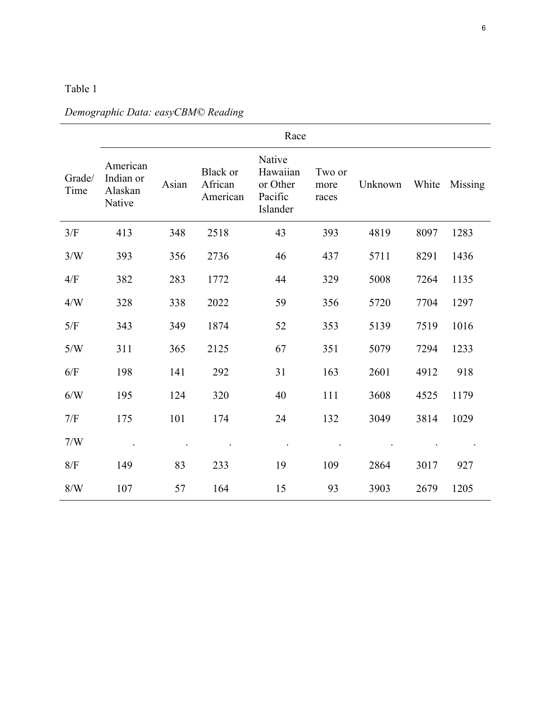|                | Race                                       |       |                                        |                                                       |                         |         |       |         |  |
|----------------|--------------------------------------------|-------|----------------------------------------|-------------------------------------------------------|-------------------------|---------|-------|---------|--|
| Grade/<br>Time | American<br>Indian or<br>Alaskan<br>Native | Asian | <b>Black or</b><br>African<br>American | Native<br>Hawaiian<br>or Other<br>Pacific<br>Islander | Two or<br>more<br>races | Unknown | White | Missing |  |
| 3/F            | 413                                        | 348   | 2518                                   | 43                                                    | 393                     | 4819    | 8097  | 1283    |  |
| 3/W            | 393                                        | 356   | 2736                                   | 46                                                    | 437                     | 5711    | 8291  | 1436    |  |
| 4/F            | 382                                        | 283   | 1772                                   | 44                                                    | 329                     | 5008    | 7264  | 1135    |  |
| 4/W            | 328                                        | 338   | 2022                                   | 59                                                    | 356                     | 5720    | 7704  | 1297    |  |
| 5/F            | 343                                        | 349   | 1874                                   | 52                                                    | 353                     | 5139    | 7519  | 1016    |  |
| 5/W            | 311                                        | 365   | 2125                                   | 67                                                    | 351                     | 5079    | 7294  | 1233    |  |
| 6/F            | 198                                        | 141   | 292                                    | 31                                                    | 163                     | 2601    | 4912  | 918     |  |
| 6/N            | 195                                        | 124   | 320                                    | 40                                                    | 111                     | 3608    | 4525  | 1179    |  |
| 7/F            | 175                                        | 101   | 174                                    | 24                                                    | 132                     | 3049    | 3814  | 1029    |  |
| 7/W            |                                            |       |                                        |                                                       |                         |         |       |         |  |
| 8/F            | 149                                        | 83    | 233                                    | 19                                                    | 109                     | 2864    | 3017  | 927     |  |
| 8/W            | 107                                        | 57    | 164                                    | 15                                                    | 93                      | 3903    | 2679  | 1205    |  |

# *Demographic Data: easyCBM© Reading*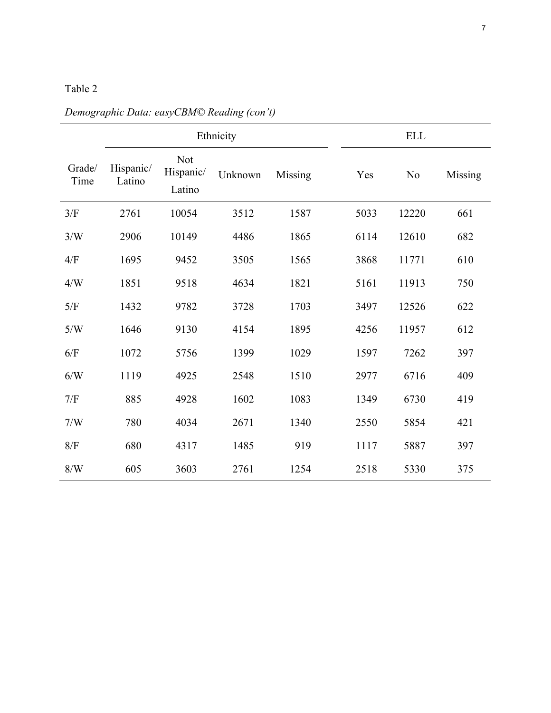|                |                     |                                   | Ethnicity |         | <b>ELL</b> |                |         |
|----------------|---------------------|-----------------------------------|-----------|---------|------------|----------------|---------|
| Grade/<br>Time | Hispanic/<br>Latino | <b>Not</b><br>Hispanic/<br>Latino | Unknown   | Missing | Yes        | N <sub>0</sub> | Missing |
| 3/F            | 2761                | 10054                             | 3512      | 1587    | 5033       | 12220          | 661     |
| 3/W            | 2906                | 10149                             | 4486      | 1865    | 6114       | 12610          | 682     |
| 4/F            | 1695                | 9452                              | 3505      | 1565    | 3868       | 11771          | 610     |
| 4/W            | 1851                | 9518                              | 4634      | 1821    | 5161       | 11913          | 750     |
| 5/F            | 1432                | 9782                              | 3728      | 1703    | 3497       | 12526          | 622     |
| 5/W            | 1646                | 9130                              | 4154      | 1895    | 4256       | 11957          | 612     |
| 6/F            | 1072                | 5756                              | 1399      | 1029    | 1597       | 7262           | 397     |
| 6/N            | 1119                | 4925                              | 2548      | 1510    | 2977       | 6716           | 409     |
| 7/F            | 885                 | 4928                              | 1602      | 1083    | 1349       | 6730           | 419     |
| 7/W            | 780                 | 4034                              | 2671      | 1340    | 2550       | 5854           | 421     |
| $8/F$          | 680                 | 4317                              | 1485      | 919     | 1117       | 5887           | 397     |
| 8/W            | 605                 | 3603                              | 2761      | 1254    | 2518       | 5330           | 375     |

*Demographic Data: easyCBM© Reading (con't)*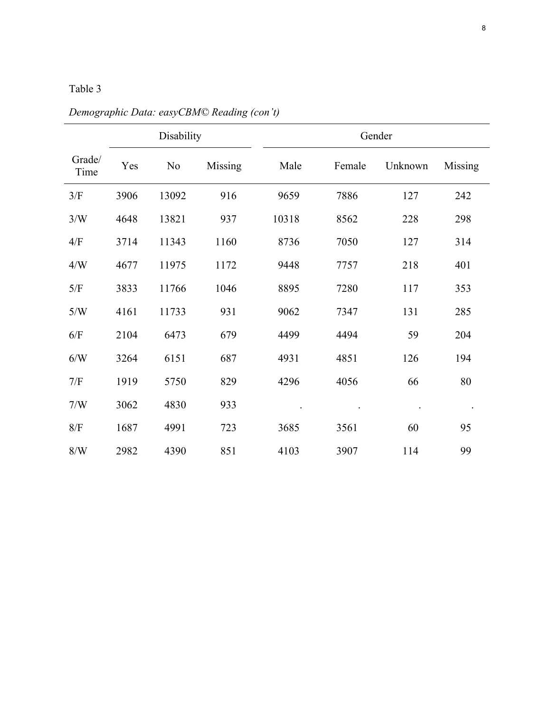|                | Disability |       |         | Gender |        |         |         |  |
|----------------|------------|-------|---------|--------|--------|---------|---------|--|
| Grade/<br>Time | Yes        | No    | Missing | Male   | Female | Unknown | Missing |  |
| 3/F            | 3906       | 13092 | 916     | 9659   | 7886   | 127     | 242     |  |
| 3/W            | 4648       | 13821 | 937     | 10318  | 8562   | 228     | 298     |  |
| 4/F            | 3714       | 11343 | 1160    | 8736   | 7050   | 127     | 314     |  |
| 4/W            | 4677       | 11975 | 1172    | 9448   | 7757   | 218     | 401     |  |
| 5/F            | 3833       | 11766 | 1046    | 8895   | 7280   | 117     | 353     |  |
| 5/W            | 4161       | 11733 | 931     | 9062   | 7347   | 131     | 285     |  |
| 6/F            | 2104       | 6473  | 679     | 4499   | 4494   | 59      | 204     |  |
| 6/W            | 3264       | 6151  | 687     | 4931   | 4851   | 126     | 194     |  |
| 7/F            | 1919       | 5750  | 829     | 4296   | 4056   | 66      | 80      |  |
| 7/W            | 3062       | 4830  | 933     |        |        |         |         |  |
| $8/F$          | 1687       | 4991  | 723     | 3685   | 3561   | 60      | 95      |  |
| 8/W            | 2982       | 4390  | 851     | 4103   | 3907   | 114     | 99      |  |

*Demographic Data: easyCBM© Reading (con't)*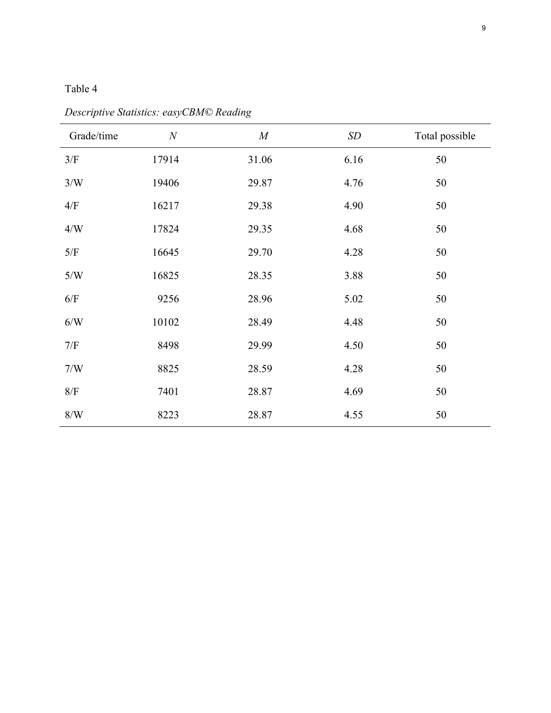| Grade/time | N     | M     | SD   | Total possible |
|------------|-------|-------|------|----------------|
| 3/F        | 17914 | 31.06 | 6.16 | 50             |
| 3/W        | 19406 | 29.87 | 4.76 | 50             |
| 4/F        | 16217 | 29.38 | 4.90 | 50             |
| 4/W        | 17824 | 29.35 | 4.68 | 50             |
| $5/F$      | 16645 | 29.70 | 4.28 | 50             |
| 5/W        | 16825 | 28.35 | 3.88 | 50             |
| 6/F        | 9256  | 28.96 | 5.02 | 50             |
| 6/N        | 10102 | 28.49 | 4.48 | 50             |
| 7/F        | 8498  | 29.99 | 4.50 | 50             |
| 7/W        | 8825  | 28.59 | 4.28 | 50             |
| 8/F        | 7401  | 28.87 | 4.69 | 50             |
| $8/W$      | 8223  | 28.87 | 4.55 | 50             |

*Descriptive Statistics: easyCBM© Reading*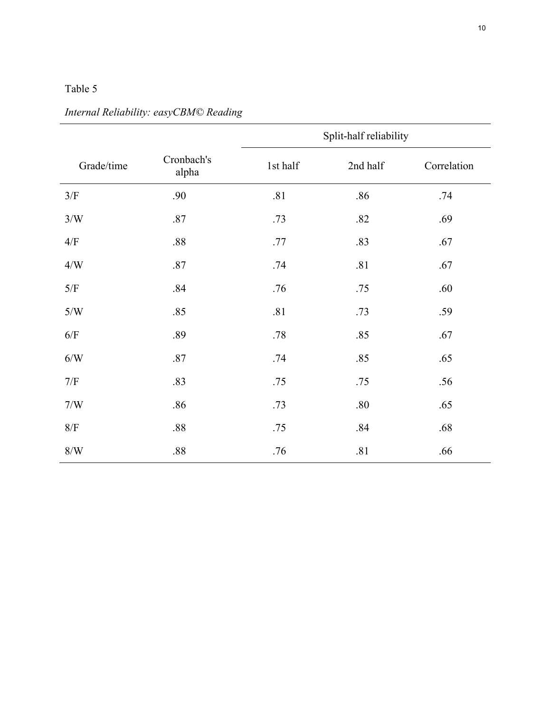|            |                     | Split-half reliability |          |             |  |  |
|------------|---------------------|------------------------|----------|-------------|--|--|
| Grade/time | Cronbach's<br>alpha | 1st half               | 2nd half | Correlation |  |  |
| $3/F$      | .90                 | .81                    | .86      | .74         |  |  |
| 3/W        | .87                 | .73                    | .82      | .69         |  |  |
| $4/F$      | .88                 | .77                    | .83      | .67         |  |  |
| $4/W$      | .87                 | .74                    | .81      | .67         |  |  |
| $5/F$      | .84                 | .76                    | .75      | .60         |  |  |
| 5/W        | .85                 | .81                    | .73      | .59         |  |  |
| $6/F$      | .89                 | .78                    | .85      | .67         |  |  |
| 6/W        | .87                 | .74                    | .85      | .65         |  |  |
| $7/F$      | .83                 | .75                    | .75      | .56         |  |  |
| 7/W        | .86                 | .73                    | $.80\,$  | .65         |  |  |
| $8/F$      | .88                 | .75                    | .84      | .68         |  |  |
| 8/W        | .88                 | .76                    | .81      | .66         |  |  |

*Internal Reliability: easyCBM© Reading*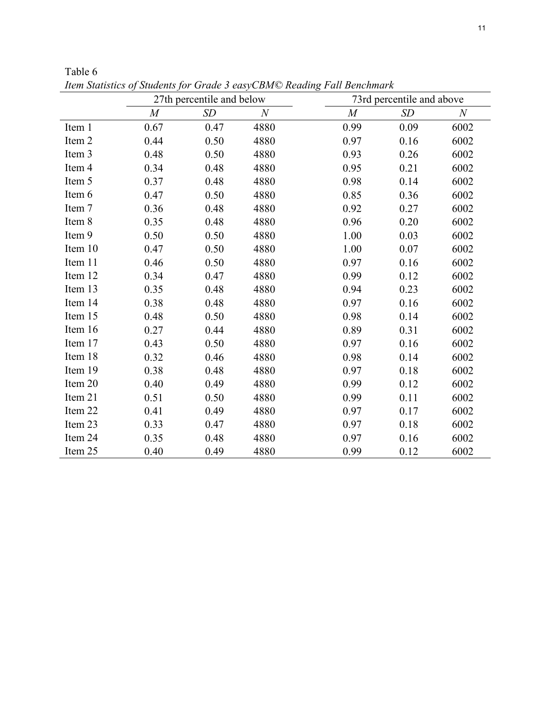|         |                | 27th percentile and below |                  |          | 73rd percentile and above |              |
|---------|----------------|---------------------------|------------------|----------|---------------------------|--------------|
|         | $\overline{M}$ | SD                        | $\boldsymbol{N}$ | $\cal M$ | SD                        | $\mathcal N$ |
| Item 1  | 0.67           | 0.47                      | 4880             | 0.99     | 0.09                      | 6002         |
| Item 2  | 0.44           | 0.50                      | 4880             | 0.97     | 0.16                      | 6002         |
| Item 3  | 0.48           | 0.50                      | 4880             | 0.93     | 0.26                      | 6002         |
| Item 4  | 0.34           | 0.48                      | 4880             | 0.95     | 0.21                      | 6002         |
| Item 5  | 0.37           | 0.48                      | 4880             | 0.98     | 0.14                      | 6002         |
| Item 6  | 0.47           | 0.50                      | 4880             | 0.85     | 0.36                      | 6002         |
| Item 7  | 0.36           | 0.48                      | 4880             | 0.92     | 0.27                      | 6002         |
| Item 8  | 0.35           | 0.48                      | 4880             | 0.96     | 0.20                      | 6002         |
| Item 9  | 0.50           | 0.50                      | 4880             | 1.00     | 0.03                      | 6002         |
| Item 10 | 0.47           | 0.50                      | 4880             | 1.00     | 0.07                      | 6002         |
| Item 11 | 0.46           | 0.50                      | 4880             | 0.97     | 0.16                      | 6002         |
| Item 12 | 0.34           | 0.47                      | 4880             | 0.99     | 0.12                      | 6002         |
| Item 13 | 0.35           | 0.48                      | 4880             | 0.94     | 0.23                      | 6002         |
| Item 14 | 0.38           | 0.48                      | 4880             | 0.97     | 0.16                      | 6002         |
| Item 15 | 0.48           | 0.50                      | 4880             | 0.98     | 0.14                      | 6002         |
| Item 16 | 0.27           | 0.44                      | 4880             | 0.89     | 0.31                      | 6002         |
| Item 17 | 0.43           | 0.50                      | 4880             | 0.97     | 0.16                      | 6002         |
| Item 18 | 0.32           | 0.46                      | 4880             | 0.98     | 0.14                      | 6002         |
| Item 19 | 0.38           | 0.48                      | 4880             | 0.97     | 0.18                      | 6002         |
| Item 20 | 0.40           | 0.49                      | 4880             | 0.99     | 0.12                      | 6002         |
| Item 21 | 0.51           | 0.50                      | 4880             | 0.99     | 0.11                      | 6002         |
| Item 22 | 0.41           | 0.49                      | 4880             | 0.97     | 0.17                      | 6002         |
| Item 23 | 0.33           | 0.47                      | 4880             | 0.97     | 0.18                      | 6002         |
| Item 24 | 0.35           | 0.48                      | 4880             | 0.97     | 0.16                      | 6002         |
| Item 25 | 0.40           | 0.49                      | 4880             | 0.99     | 0.12                      | 6002         |

Table 6 *Item Statistics of Students for Grade 3 easyCBM© Reading Fall Benchmark*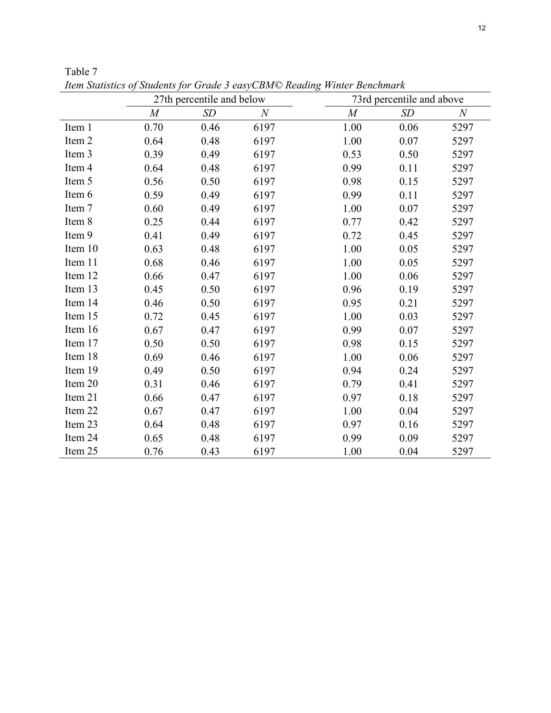|         |                  | 27th percentile and below |                  |                  | 73rd percentile and above |          |  |  |
|---------|------------------|---------------------------|------------------|------------------|---------------------------|----------|--|--|
|         | $\boldsymbol{M}$ | SD                        | $\boldsymbol{N}$ | $\boldsymbol{M}$ | SD                        | $\cal N$ |  |  |
| Item 1  | 0.70             | 0.46                      | 6197             | 1.00             | 0.06                      | 5297     |  |  |
| Item 2  | 0.64             | 0.48                      | 6197             | 1.00             | 0.07                      | 5297     |  |  |
| Item 3  | 0.39             | 0.49                      | 6197             | 0.53             | 0.50                      | 5297     |  |  |
| Item 4  | 0.64             | 0.48                      | 6197             | 0.99             | 0.11                      | 5297     |  |  |
| Item 5  | 0.56             | 0.50                      | 6197             | 0.98             | 0.15                      | 5297     |  |  |
| Item 6  | 0.59             | 0.49                      | 6197             | 0.99             | 0.11                      | 5297     |  |  |
| Item 7  | 0.60             | 0.49                      | 6197             | 1.00             | 0.07                      | 5297     |  |  |
| Item 8  | 0.25             | 0.44                      | 6197             | 0.77             | 0.42                      | 5297     |  |  |
| Item 9  | 0.41             | 0.49                      | 6197             | 0.72             | 0.45                      | 5297     |  |  |
| Item 10 | 0.63             | 0.48                      | 6197             | 1.00             | 0.05                      | 5297     |  |  |
| Item 11 | 0.68             | 0.46                      | 6197             | 1.00             | 0.05                      | 5297     |  |  |
| Item 12 | 0.66             | 0.47                      | 6197             | 1.00             | 0.06                      | 5297     |  |  |
| Item 13 | 0.45             | 0.50                      | 6197             | 0.96             | 0.19                      | 5297     |  |  |
| Item 14 | 0.46             | 0.50                      | 6197             | 0.95             | 0.21                      | 5297     |  |  |
| Item 15 | 0.72             | 0.45                      | 6197             | 1.00             | 0.03                      | 5297     |  |  |
| Item 16 | 0.67             | 0.47                      | 6197             | 0.99             | 0.07                      | 5297     |  |  |
| Item 17 | 0.50             | 0.50                      | 6197             | 0.98             | 0.15                      | 5297     |  |  |
| Item 18 | 0.69             | 0.46                      | 6197             | 1.00             | 0.06                      | 5297     |  |  |
| Item 19 | 0.49             | 0.50                      | 6197             | 0.94             | 0.24                      | 5297     |  |  |
| Item 20 | 0.31             | 0.46                      | 6197             | 0.79             | 0.41                      | 5297     |  |  |
| Item 21 | 0.66             | 0.47                      | 6197             | 0.97             | 0.18                      | 5297     |  |  |
| Item 22 | 0.67             | 0.47                      | 6197             | 1.00             | 0.04                      | 5297     |  |  |
| Item 23 | 0.64             | 0.48                      | 6197             | 0.97             | 0.16                      | 5297     |  |  |
| Item 24 | 0.65             | 0.48                      | 6197             | 0.99             | 0.09                      | 5297     |  |  |
| Item 25 | 0.76             | 0.43                      | 6197             | 1.00             | 0.04                      | 5297     |  |  |

Table 7 *Item Statistics of Students for Grade 3 easyCBM© Reading Winter Benchmark*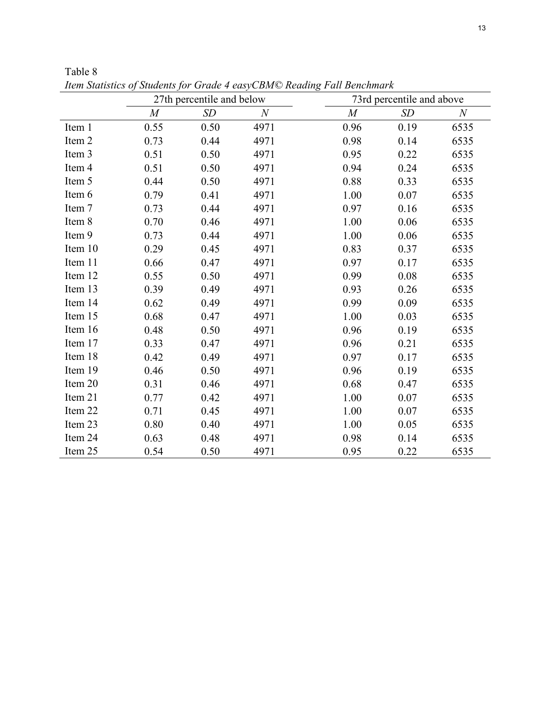|         |          | 27th percentile and below |                  |                  | 73rd percentile and above |          |
|---------|----------|---------------------------|------------------|------------------|---------------------------|----------|
|         | $\cal M$ | $\sqrt{SD}$               | $\boldsymbol{N}$ | $\boldsymbol{M}$ | SD                        | $\cal N$ |
| Item 1  | 0.55     | 0.50                      | 4971             | 0.96             | 0.19                      | 6535     |
| Item 2  | 0.73     | 0.44                      | 4971             | 0.98             | 0.14                      | 6535     |
| Item 3  | 0.51     | 0.50                      | 4971             | 0.95             | 0.22                      | 6535     |
| Item 4  | 0.51     | 0.50                      | 4971             | 0.94             | 0.24                      | 6535     |
| Item 5  | 0.44     | 0.50                      | 4971             | 0.88             | 0.33                      | 6535     |
| Item 6  | 0.79     | 0.41                      | 4971             | 1.00             | 0.07                      | 6535     |
| Item 7  | 0.73     | 0.44                      | 4971             | 0.97             | 0.16                      | 6535     |
| Item 8  | 0.70     | 0.46                      | 4971             | 1.00             | 0.06                      | 6535     |
| Item 9  | 0.73     | 0.44                      | 4971             | 1.00             | 0.06                      | 6535     |
| Item 10 | 0.29     | 0.45                      | 4971             | 0.83             | 0.37                      | 6535     |
| Item 11 | 0.66     | 0.47                      | 4971             | 0.97             | 0.17                      | 6535     |
| Item 12 | 0.55     | 0.50                      | 4971             | 0.99             | 0.08                      | 6535     |
| Item 13 | 0.39     | 0.49                      | 4971             | 0.93             | 0.26                      | 6535     |
| Item 14 | 0.62     | 0.49                      | 4971             | 0.99             | 0.09                      | 6535     |
| Item 15 | 0.68     | 0.47                      | 4971             | 1.00             | 0.03                      | 6535     |
| Item 16 | 0.48     | 0.50                      | 4971             | 0.96             | 0.19                      | 6535     |
| Item 17 | 0.33     | 0.47                      | 4971             | 0.96             | 0.21                      | 6535     |
| Item 18 | 0.42     | 0.49                      | 4971             | 0.97             | 0.17                      | 6535     |
| Item 19 | 0.46     | 0.50                      | 4971             | 0.96             | 0.19                      | 6535     |
| Item 20 | 0.31     | 0.46                      | 4971             | 0.68             | 0.47                      | 6535     |
| Item 21 | 0.77     | 0.42                      | 4971             | 1.00             | 0.07                      | 6535     |
| Item 22 | 0.71     | 0.45                      | 4971             | 1.00             | 0.07                      | 6535     |
| Item 23 | 0.80     | 0.40                      | 4971             | 1.00             | 0.05                      | 6535     |
| Item 24 | 0.63     | 0.48                      | 4971             | 0.98             | 0.14                      | 6535     |
| Item 25 | 0.54     | 0.50                      | 4971             | 0.95             | 0.22                      | 6535     |

Table 8 *Item Statistics of Students for Grade 4 easyCBM© Reading Fall Benchmark*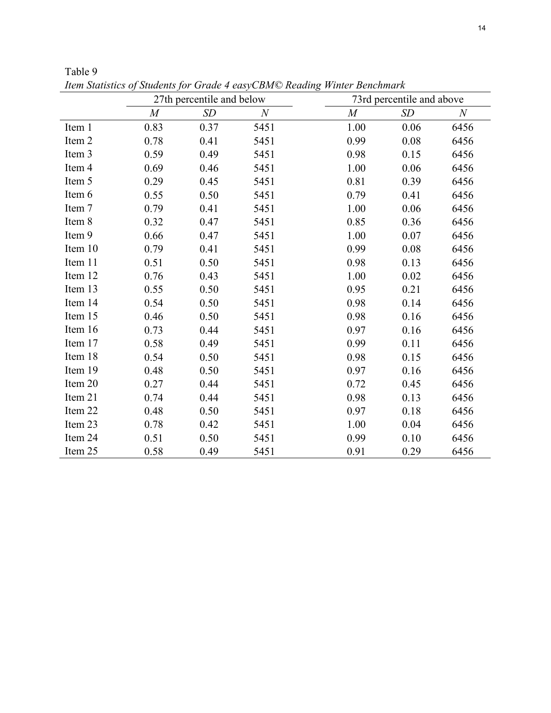|         |      | 27th percentile and below |       |                | 73rd percentile and above |                  |
|---------|------|---------------------------|-------|----------------|---------------------------|------------------|
|         | M    | SD                        | $\,N$ | $\overline{M}$ | SD                        | $\boldsymbol{N}$ |
| Item 1  | 0.83 | 0.37                      | 5451  | 1.00           | 0.06                      | 6456             |
| Item 2  | 0.78 | 0.41                      | 5451  | 0.99           | 0.08                      | 6456             |
| Item 3  | 0.59 | 0.49                      | 5451  | 0.98           | 0.15                      | 6456             |
| Item 4  | 0.69 | 0.46                      | 5451  | 1.00           | 0.06                      | 6456             |
| Item 5  | 0.29 | 0.45                      | 5451  | 0.81           | 0.39                      | 6456             |
| Item 6  | 0.55 | 0.50                      | 5451  | 0.79           | 0.41                      | 6456             |
| Item 7  | 0.79 | 0.41                      | 5451  | 1.00           | 0.06                      | 6456             |
| Item 8  | 0.32 | 0.47                      | 5451  | 0.85           | 0.36                      | 6456             |
| Item 9  | 0.66 | 0.47                      | 5451  | 1.00           | 0.07                      | 6456             |
| Item 10 | 0.79 | 0.41                      | 5451  | 0.99           | 0.08                      | 6456             |
| Item 11 | 0.51 | 0.50                      | 5451  | 0.98           | 0.13                      | 6456             |
| Item 12 | 0.76 | 0.43                      | 5451  | 1.00           | 0.02                      | 6456             |
| Item 13 | 0.55 | 0.50                      | 5451  | 0.95           | 0.21                      | 6456             |
| Item 14 | 0.54 | 0.50                      | 5451  | 0.98           | 0.14                      | 6456             |
| Item 15 | 0.46 | 0.50                      | 5451  | 0.98           | 0.16                      | 6456             |
| Item 16 | 0.73 | 0.44                      | 5451  | 0.97           | 0.16                      | 6456             |
| Item 17 | 0.58 | 0.49                      | 5451  | 0.99           | 0.11                      | 6456             |
| Item 18 | 0.54 | 0.50                      | 5451  | 0.98           | 0.15                      | 6456             |
| Item 19 | 0.48 | 0.50                      | 5451  | 0.97           | 0.16                      | 6456             |
| Item 20 | 0.27 | 0.44                      | 5451  | 0.72           | 0.45                      | 6456             |
| Item 21 | 0.74 | 0.44                      | 5451  | 0.98           | 0.13                      | 6456             |
| Item 22 | 0.48 | 0.50                      | 5451  | 0.97           | 0.18                      | 6456             |
| Item 23 | 0.78 | 0.42                      | 5451  | 1.00           | 0.04                      | 6456             |
| Item 24 | 0.51 | 0.50                      | 5451  | 0.99           | 0.10                      | 6456             |
| Item 25 | 0.58 | 0.49                      | 5451  | 0.91           | 0.29                      | 6456             |

Table 9 *Item Statistics of Students for Grade 4 easyCBM© Reading Winter Benchmark*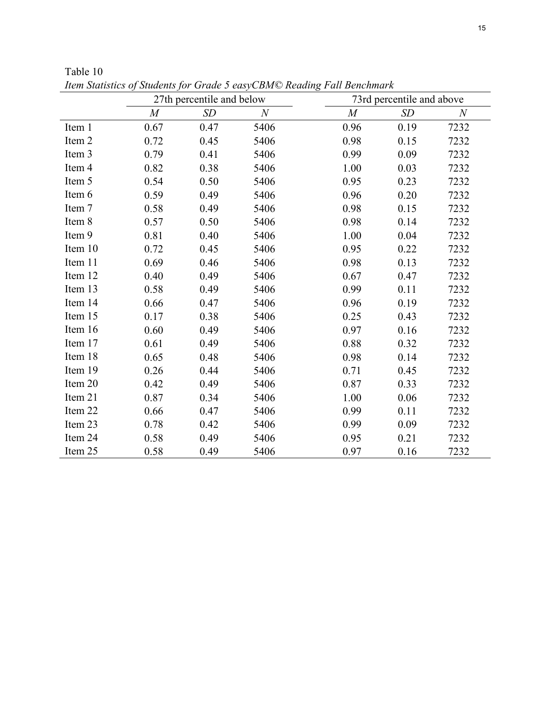|         |      | 27th percentile and below |      |                  | 73rd percentile and above |              |
|---------|------|---------------------------|------|------------------|---------------------------|--------------|
|         | M    | SD                        | N    | $\boldsymbol{M}$ | SD                        | $\mathcal N$ |
| Item 1  | 0.67 | 0.47                      | 5406 | 0.96             | 0.19                      | 7232         |
| Item 2  | 0.72 | 0.45                      | 5406 | 0.98             | 0.15                      | 7232         |
| Item 3  | 0.79 | 0.41                      | 5406 | 0.99             | 0.09                      | 7232         |
| Item 4  | 0.82 | 0.38                      | 5406 | 1.00             | 0.03                      | 7232         |
| Item 5  | 0.54 | 0.50                      | 5406 | 0.95             | 0.23                      | 7232         |
| Item 6  | 0.59 | 0.49                      | 5406 | 0.96             | 0.20                      | 7232         |
| Item 7  | 0.58 | 0.49                      | 5406 | 0.98             | 0.15                      | 7232         |
| Item 8  | 0.57 | 0.50                      | 5406 | 0.98             | 0.14                      | 7232         |
| Item 9  | 0.81 | 0.40                      | 5406 | 1.00             | 0.04                      | 7232         |
| Item 10 | 0.72 | 0.45                      | 5406 | 0.95             | 0.22                      | 7232         |
| Item 11 | 0.69 | 0.46                      | 5406 | 0.98             | 0.13                      | 7232         |
| Item 12 | 0.40 | 0.49                      | 5406 | 0.67             | 0.47                      | 7232         |
| Item 13 | 0.58 | 0.49                      | 5406 | 0.99             | 0.11                      | 7232         |
| Item 14 | 0.66 | 0.47                      | 5406 | 0.96             | 0.19                      | 7232         |
| Item 15 | 0.17 | 0.38                      | 5406 | 0.25             | 0.43                      | 7232         |
| Item 16 | 0.60 | 0.49                      | 5406 | 0.97             | 0.16                      | 7232         |
| Item 17 | 0.61 | 0.49                      | 5406 | 0.88             | 0.32                      | 7232         |
| Item 18 | 0.65 | 0.48                      | 5406 | 0.98             | 0.14                      | 7232         |
| Item 19 | 0.26 | 0.44                      | 5406 | 0.71             | 0.45                      | 7232         |
| Item 20 | 0.42 | 0.49                      | 5406 | 0.87             | 0.33                      | 7232         |
| Item 21 | 0.87 | 0.34                      | 5406 | 1.00             | 0.06                      | 7232         |
| Item 22 | 0.66 | 0.47                      | 5406 | 0.99             | 0.11                      | 7232         |
| Item 23 | 0.78 | 0.42                      | 5406 | 0.99             | 0.09                      | 7232         |
| Item 24 | 0.58 | 0.49                      | 5406 | 0.95             | 0.21                      | 7232         |
| Item 25 | 0.58 | 0.49                      | 5406 | 0.97             | 0.16                      | 7232         |

Table 10 *Item Statistics of Students for Grade 5 easyCBM© Reading Fall Benchmark*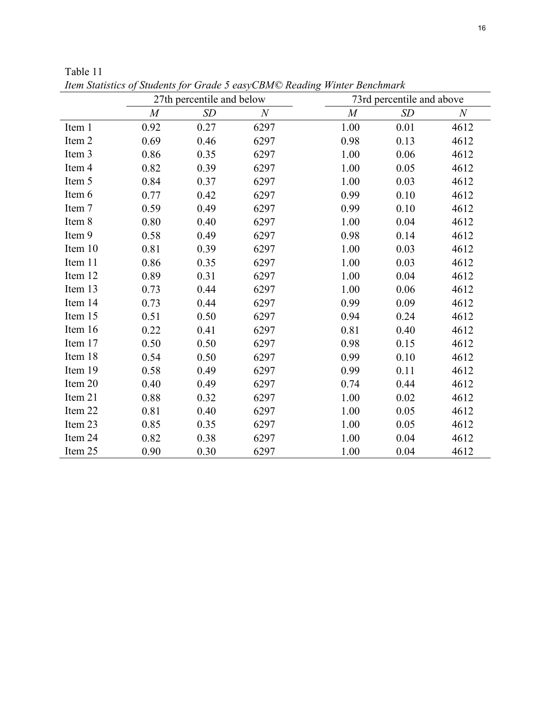|         |      | 27th percentile and below |                  |                  | 73rd percentile and above |                  |
|---------|------|---------------------------|------------------|------------------|---------------------------|------------------|
|         | M    | SD                        | $\boldsymbol{N}$ | $\boldsymbol{M}$ | SD                        | $\boldsymbol{N}$ |
| Item 1  | 0.92 | 0.27                      | 6297             | 1.00             | 0.01                      | 4612             |
| Item 2  | 0.69 | 0.46                      | 6297             | 0.98             | 0.13                      | 4612             |
| Item 3  | 0.86 | 0.35                      | 6297             | 1.00             | 0.06                      | 4612             |
| Item 4  | 0.82 | 0.39                      | 6297             | 1.00             | 0.05                      | 4612             |
| Item 5  | 0.84 | 0.37                      | 6297             | 1.00             | 0.03                      | 4612             |
| Item 6  | 0.77 | 0.42                      | 6297             | 0.99             | 0.10                      | 4612             |
| Item 7  | 0.59 | 0.49                      | 6297             | 0.99             | 0.10                      | 4612             |
| Item 8  | 0.80 | 0.40                      | 6297             | 1.00             | 0.04                      | 4612             |
| Item 9  | 0.58 | 0.49                      | 6297             | 0.98             | 0.14                      | 4612             |
| Item 10 | 0.81 | 0.39                      | 6297             | 1.00             | 0.03                      | 4612             |
| Item 11 | 0.86 | 0.35                      | 6297             | 1.00             | 0.03                      | 4612             |
| Item 12 | 0.89 | 0.31                      | 6297             | 1.00             | 0.04                      | 4612             |
| Item 13 | 0.73 | 0.44                      | 6297             | 1.00             | 0.06                      | 4612             |
| Item 14 | 0.73 | 0.44                      | 6297             | 0.99             | 0.09                      | 4612             |
| Item 15 | 0.51 | 0.50                      | 6297             | 0.94             | 0.24                      | 4612             |
| Item 16 | 0.22 | 0.41                      | 6297             | 0.81             | 0.40                      | 4612             |
| Item 17 | 0.50 | 0.50                      | 6297             | 0.98             | 0.15                      | 4612             |
| Item 18 | 0.54 | 0.50                      | 6297             | 0.99             | 0.10                      | 4612             |
| Item 19 | 0.58 | 0.49                      | 6297             | 0.99             | 0.11                      | 4612             |
| Item 20 | 0.40 | 0.49                      | 6297             | 0.74             | 0.44                      | 4612             |
| Item 21 | 0.88 | 0.32                      | 6297             | 1.00             | 0.02                      | 4612             |
| Item 22 | 0.81 | 0.40                      | 6297             | 1.00             | 0.05                      | 4612             |
| Item 23 | 0.85 | 0.35                      | 6297             | 1.00             | 0.05                      | 4612             |
| Item 24 | 0.82 | 0.38                      | 6297             | 1.00             | 0.04                      | 4612             |
| Item 25 | 0.90 | 0.30                      | 6297             | 1.00             | 0.04                      | 4612             |

Table 11 *Item Statistics of Students for Grade 5 easyCBM© Reading Winter Benchmark*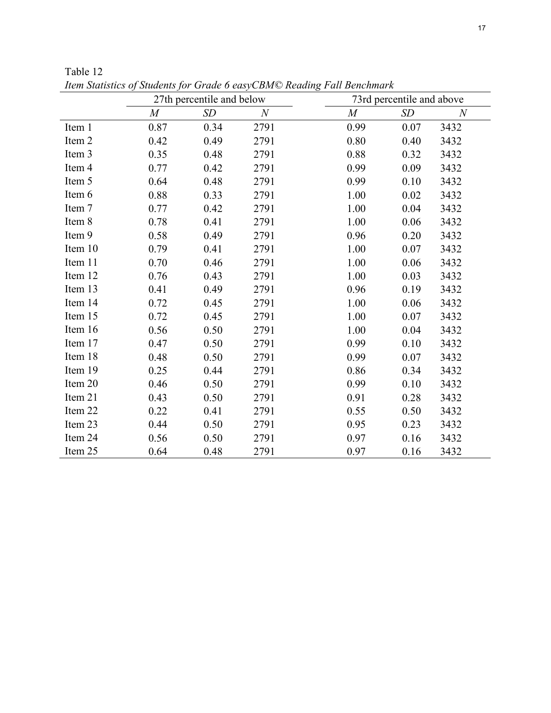|         |                | 27th percentile and below |                  |                  | 73rd percentile and above |                  |
|---------|----------------|---------------------------|------------------|------------------|---------------------------|------------------|
|         | $\overline{M}$ | SD                        | $\boldsymbol{N}$ | $\boldsymbol{M}$ | SD                        | $\boldsymbol{N}$ |
| Item 1  | 0.87           | 0.34                      | 2791             | 0.99             | 0.07                      | 3432             |
| Item 2  | 0.42           | 0.49                      | 2791             | 0.80             | 0.40                      | 3432             |
| Item 3  | 0.35           | 0.48                      | 2791             | 0.88             | 0.32                      | 3432             |
| Item 4  | 0.77           | 0.42                      | 2791             | 0.99             | 0.09                      | 3432             |
| Item 5  | 0.64           | 0.48                      | 2791             | 0.99             | 0.10                      | 3432             |
| Item 6  | 0.88           | 0.33                      | 2791             | 1.00             | 0.02                      | 3432             |
| Item 7  | 0.77           | 0.42                      | 2791             | 1.00             | 0.04                      | 3432             |
| Item 8  | 0.78           | 0.41                      | 2791             | 1.00             | 0.06                      | 3432             |
| Item 9  | 0.58           | 0.49                      | 2791             | 0.96             | 0.20                      | 3432             |
| Item 10 | 0.79           | 0.41                      | 2791             | 1.00             | 0.07                      | 3432             |
| Item 11 | 0.70           | 0.46                      | 2791             | 1.00             | 0.06                      | 3432             |
| Item 12 | 0.76           | 0.43                      | 2791             | 1.00             | 0.03                      | 3432             |
| Item 13 | 0.41           | 0.49                      | 2791             | 0.96             | 0.19                      | 3432             |
| Item 14 | 0.72           | 0.45                      | 2791             | 1.00             | 0.06                      | 3432             |
| Item 15 | 0.72           | 0.45                      | 2791             | 1.00             | 0.07                      | 3432             |
| Item 16 | 0.56           | 0.50                      | 2791             | 1.00             | 0.04                      | 3432             |
| Item 17 | 0.47           | 0.50                      | 2791             | 0.99             | 0.10                      | 3432             |
| Item 18 | 0.48           | 0.50                      | 2791             | 0.99             | 0.07                      | 3432             |
| Item 19 | 0.25           | 0.44                      | 2791             | 0.86             | 0.34                      | 3432             |
| Item 20 | 0.46           | 0.50                      | 2791             | 0.99             | 0.10                      | 3432             |
| Item 21 | 0.43           | 0.50                      | 2791             | 0.91             | 0.28                      | 3432             |
| Item 22 | 0.22           | 0.41                      | 2791             | 0.55             | 0.50                      | 3432             |
| Item 23 | 0.44           | 0.50                      | 2791             | 0.95             | 0.23                      | 3432             |
| Item 24 | 0.56           | 0.50                      | 2791             | 0.97             | 0.16                      | 3432             |
| Item 25 | 0.64           | 0.48                      | 2791             | 0.97             | 0.16                      | 3432             |

Table 12 *Item Statistics of Students for Grade 6 easyCBM© Reading Fall Benchmark*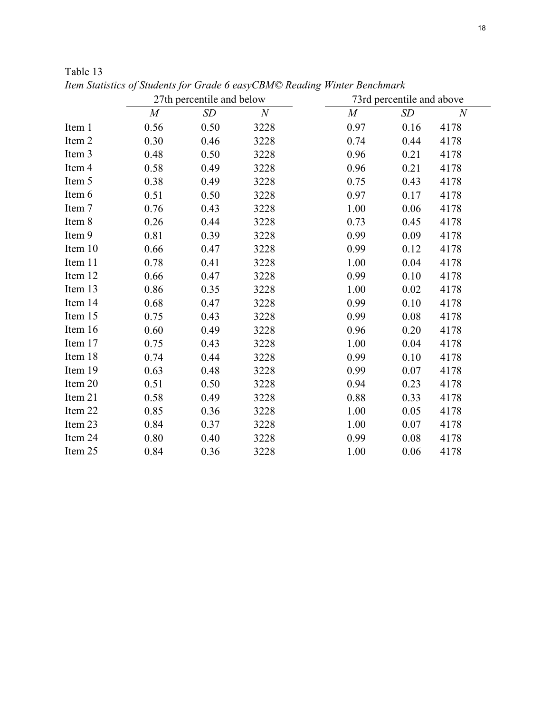|         | 27th percentile and below |      | 73rd percentile and above |      |      |                  |
|---------|---------------------------|------|---------------------------|------|------|------------------|
|         | $\cal M$                  | SD   | $\cal N$                  | M    | SD   | $\boldsymbol{N}$ |
| Item 1  | 0.56                      | 0.50 | 3228                      | 0.97 | 0.16 | 4178             |
| Item 2  | 0.30                      | 0.46 | 3228                      | 0.74 | 0.44 | 4178             |
| Item 3  | 0.48                      | 0.50 | 3228                      | 0.96 | 0.21 | 4178             |
| Item 4  | 0.58                      | 0.49 | 3228                      | 0.96 | 0.21 | 4178             |
| Item 5  | 0.38                      | 0.49 | 3228                      | 0.75 | 0.43 | 4178             |
| Item 6  | 0.51                      | 0.50 | 3228                      | 0.97 | 0.17 | 4178             |
| Item 7  | 0.76                      | 0.43 | 3228                      | 1.00 | 0.06 | 4178             |
| Item 8  | 0.26                      | 0.44 | 3228                      | 0.73 | 0.45 | 4178             |
| Item 9  | 0.81                      | 0.39 | 3228                      | 0.99 | 0.09 | 4178             |
| Item 10 | 0.66                      | 0.47 | 3228                      | 0.99 | 0.12 | 4178             |
| Item 11 | 0.78                      | 0.41 | 3228                      | 1.00 | 0.04 | 4178             |
| Item 12 | 0.66                      | 0.47 | 3228                      | 0.99 | 0.10 | 4178             |
| Item 13 | 0.86                      | 0.35 | 3228                      | 1.00 | 0.02 | 4178             |
| Item 14 | 0.68                      | 0.47 | 3228                      | 0.99 | 0.10 | 4178             |
| Item 15 | 0.75                      | 0.43 | 3228                      | 0.99 | 0.08 | 4178             |
| Item 16 | 0.60                      | 0.49 | 3228                      | 0.96 | 0.20 | 4178             |
| Item 17 | 0.75                      | 0.43 | 3228                      | 1.00 | 0.04 | 4178             |
| Item 18 | 0.74                      | 0.44 | 3228                      | 0.99 | 0.10 | 4178             |
| Item 19 | 0.63                      | 0.48 | 3228                      | 0.99 | 0.07 | 4178             |
| Item 20 | 0.51                      | 0.50 | 3228                      | 0.94 | 0.23 | 4178             |
| Item 21 | 0.58                      | 0.49 | 3228                      | 0.88 | 0.33 | 4178             |
| Item 22 | 0.85                      | 0.36 | 3228                      | 1.00 | 0.05 | 4178             |
| Item 23 | 0.84                      | 0.37 | 3228                      | 1.00 | 0.07 | 4178             |
| Item 24 | 0.80                      | 0.40 | 3228                      | 0.99 | 0.08 | 4178             |
| Item 25 | 0.84                      | 0.36 | 3228                      | 1.00 | 0.06 | 4178             |

Table 13 *Item Statistics of Students for Grade 6 easyCBM© Reading Winter Benchmark*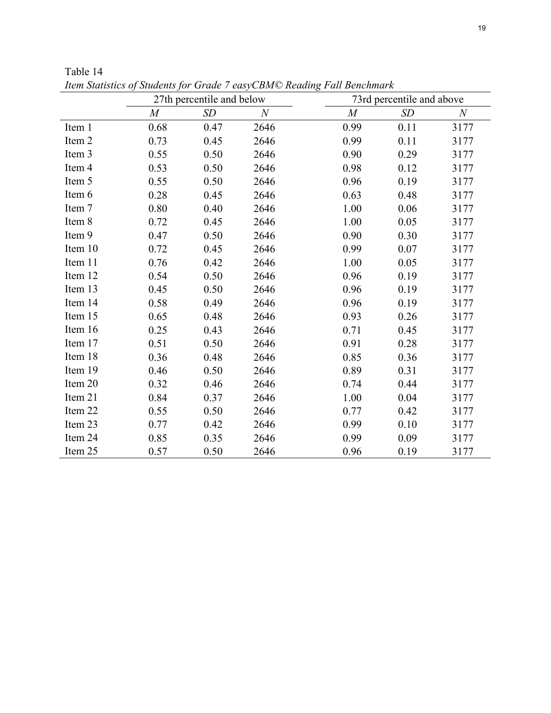|         | 27th percentile and below |      | 73rd percentile and above |                  |      |          |
|---------|---------------------------|------|---------------------------|------------------|------|----------|
|         | $\boldsymbol{M}$          | SD   | $\boldsymbol{N}$          | $\boldsymbol{M}$ | SD   | $\cal N$ |
| Item 1  | 0.68                      | 0.47 | 2646                      | 0.99             | 0.11 | 3177     |
| Item 2  | 0.73                      | 0.45 | 2646                      | 0.99             | 0.11 | 3177     |
| Item 3  | 0.55                      | 0.50 | 2646                      | 0.90             | 0.29 | 3177     |
| Item 4  | 0.53                      | 0.50 | 2646                      | 0.98             | 0.12 | 3177     |
| Item 5  | 0.55                      | 0.50 | 2646                      | 0.96             | 0.19 | 3177     |
| Item 6  | 0.28                      | 0.45 | 2646                      | 0.63             | 0.48 | 3177     |
| Item 7  | 0.80                      | 0.40 | 2646                      | 1.00             | 0.06 | 3177     |
| Item 8  | 0.72                      | 0.45 | 2646                      | 1.00             | 0.05 | 3177     |
| Item 9  | 0.47                      | 0.50 | 2646                      | 0.90             | 0.30 | 3177     |
| Item 10 | 0.72                      | 0.45 | 2646                      | 0.99             | 0.07 | 3177     |
| Item 11 | 0.76                      | 0.42 | 2646                      | 1.00             | 0.05 | 3177     |
| Item 12 | 0.54                      | 0.50 | 2646                      | 0.96             | 0.19 | 3177     |
| Item 13 | 0.45                      | 0.50 | 2646                      | 0.96             | 0.19 | 3177     |
| Item 14 | 0.58                      | 0.49 | 2646                      | 0.96             | 0.19 | 3177     |
| Item 15 | 0.65                      | 0.48 | 2646                      | 0.93             | 0.26 | 3177     |
| Item 16 | 0.25                      | 0.43 | 2646                      | 0.71             | 0.45 | 3177     |
| Item 17 | 0.51                      | 0.50 | 2646                      | 0.91             | 0.28 | 3177     |
| Item 18 | 0.36                      | 0.48 | 2646                      | 0.85             | 0.36 | 3177     |
| Item 19 | 0.46                      | 0.50 | 2646                      | 0.89             | 0.31 | 3177     |
| Item 20 | 0.32                      | 0.46 | 2646                      | 0.74             | 0.44 | 3177     |
| Item 21 | 0.84                      | 0.37 | 2646                      | 1.00             | 0.04 | 3177     |
| Item 22 | 0.55                      | 0.50 | 2646                      | 0.77             | 0.42 | 3177     |
| Item 23 | 0.77                      | 0.42 | 2646                      | 0.99             | 0.10 | 3177     |
| Item 24 | 0.85                      | 0.35 | 2646                      | 0.99             | 0.09 | 3177     |
| Item 25 | 0.57                      | 0.50 | 2646                      | 0.96             | 0.19 | 3177     |

Table 14 *Item Statistics of Students for Grade 7 easyCBM© Reading Fall Benchmark*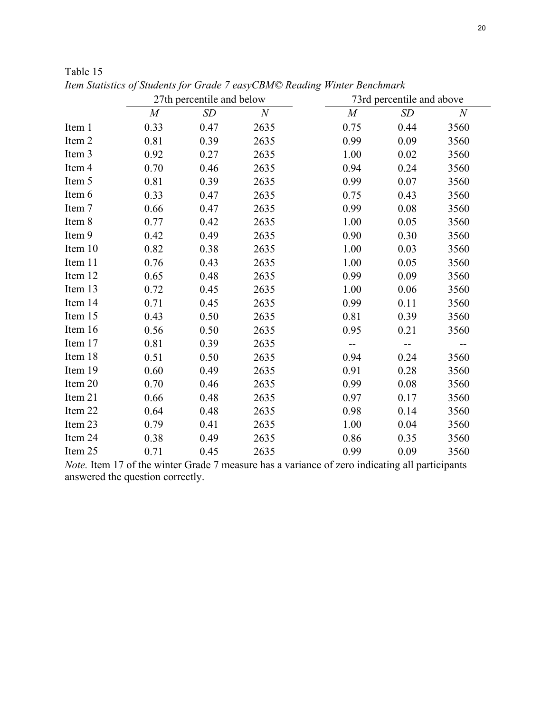|         | 27th percentile and below |      | 73rd percentile and above |                  |             |                  |
|---------|---------------------------|------|---------------------------|------------------|-------------|------------------|
|         | $\boldsymbol{M}$          | SD   | $\boldsymbol{N}$          | $\boldsymbol{M}$ | $\sqrt{SD}$ | $\boldsymbol{N}$ |
| Item 1  | 0.33                      | 0.47 | 2635                      | 0.75             | 0.44        | 3560             |
| Item 2  | 0.81                      | 0.39 | 2635                      | 0.99             | 0.09        | 3560             |
| Item 3  | 0.92                      | 0.27 | 2635                      | 1.00             | 0.02        | 3560             |
| Item 4  | 0.70                      | 0.46 | 2635                      | 0.94             | 0.24        | 3560             |
| Item 5  | 0.81                      | 0.39 | 2635                      | 0.99             | 0.07        | 3560             |
| Item 6  | 0.33                      | 0.47 | 2635                      | 0.75             | 0.43        | 3560             |
| Item 7  | 0.66                      | 0.47 | 2635                      | 0.99             | 0.08        | 3560             |
| Item 8  | 0.77                      | 0.42 | 2635                      | 1.00             | 0.05        | 3560             |
| Item 9  | 0.42                      | 0.49 | 2635                      | 0.90             | 0.30        | 3560             |
| Item 10 | 0.82                      | 0.38 | 2635                      | 1.00             | 0.03        | 3560             |
| Item 11 | 0.76                      | 0.43 | 2635                      | 1.00             | 0.05        | 3560             |
| Item 12 | 0.65                      | 0.48 | 2635                      | 0.99             | 0.09        | 3560             |
| Item 13 | 0.72                      | 0.45 | 2635                      | 1.00             | 0.06        | 3560             |
| Item 14 | 0.71                      | 0.45 | 2635                      | 0.99             | 0.11        | 3560             |
| Item 15 | 0.43                      | 0.50 | 2635                      | 0.81             | 0.39        | 3560             |
| Item 16 | 0.56                      | 0.50 | 2635                      | 0.95             | 0.21        | 3560             |
| Item 17 | 0.81                      | 0.39 | 2635                      |                  |             |                  |
| Item 18 | 0.51                      | 0.50 | 2635                      | 0.94             | 0.24        | 3560             |
| Item 19 | 0.60                      | 0.49 | 2635                      | 0.91             | 0.28        | 3560             |
| Item 20 | 0.70                      | 0.46 | 2635                      | 0.99             | 0.08        | 3560             |
| Item 21 | 0.66                      | 0.48 | 2635                      | 0.97             | 0.17        | 3560             |
| Item 22 | 0.64                      | 0.48 | 2635                      | 0.98             | 0.14        | 3560             |
| Item 23 | 0.79                      | 0.41 | 2635                      | 1.00             | 0.04        | 3560             |
| Item 24 | 0.38                      | 0.49 | 2635                      | 0.86             | 0.35        | 3560             |
| Item 25 | 0.71                      | 0.45 | 2635                      | 0.99             | 0.09        | 3560             |

Table 15 *Item Statistics of Students for Grade 7 easyCBM© Reading Winter Benchmark* 

*Note.* Item 17 of the winter Grade 7 measure has a variance of zero indicating all participants answered the question correctly.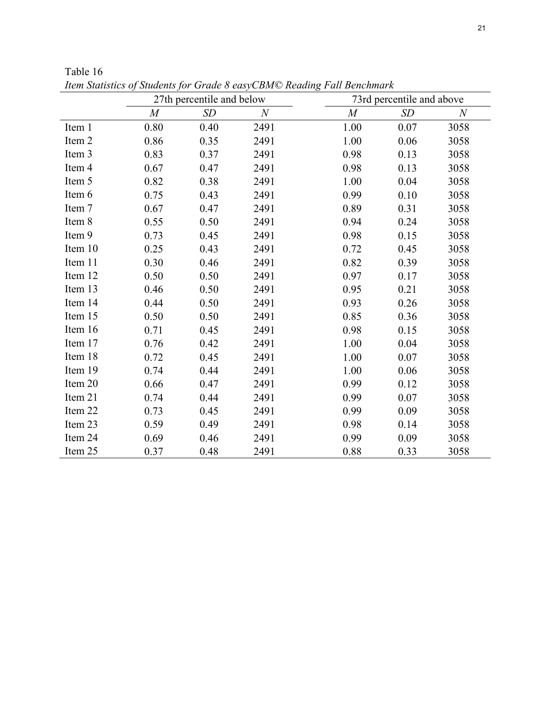|         | 27th percentile and below |      | 73rd percentile and above |                  |      |                  |
|---------|---------------------------|------|---------------------------|------------------|------|------------------|
|         | M                         | SD   | $\,N$                     | $\boldsymbol{M}$ | SD   | $\boldsymbol{N}$ |
| Item 1  | 0.80                      | 0.40 | 2491                      | 1.00             | 0.07 | 3058             |
| Item 2  | 0.86                      | 0.35 | 2491                      | 1.00             | 0.06 | 3058             |
| Item 3  | 0.83                      | 0.37 | 2491                      | 0.98             | 0.13 | 3058             |
| Item 4  | 0.67                      | 0.47 | 2491                      | 0.98             | 0.13 | 3058             |
| Item 5  | 0.82                      | 0.38 | 2491                      | 1.00             | 0.04 | 3058             |
| Item 6  | 0.75                      | 0.43 | 2491                      | 0.99             | 0.10 | 3058             |
| Item 7  | 0.67                      | 0.47 | 2491                      | 0.89             | 0.31 | 3058             |
| Item 8  | 0.55                      | 0.50 | 2491                      | 0.94             | 0.24 | 3058             |
| Item 9  | 0.73                      | 0.45 | 2491                      | 0.98             | 0.15 | 3058             |
| Item 10 | 0.25                      | 0.43 | 2491                      | 0.72             | 0.45 | 3058             |
| Item 11 | 0.30                      | 0.46 | 2491                      | 0.82             | 0.39 | 3058             |
| Item 12 | 0.50                      | 0.50 | 2491                      | 0.97             | 0.17 | 3058             |
| Item 13 | 0.46                      | 0.50 | 2491                      | 0.95             | 0.21 | 3058             |
| Item 14 | 0.44                      | 0.50 | 2491                      | 0.93             | 0.26 | 3058             |
| Item 15 | 0.50                      | 0.50 | 2491                      | 0.85             | 0.36 | 3058             |
| Item 16 | 0.71                      | 0.45 | 2491                      | 0.98             | 0.15 | 3058             |
| Item 17 | 0.76                      | 0.42 | 2491                      | 1.00             | 0.04 | 3058             |
| Item 18 | 0.72                      | 0.45 | 2491                      | 1.00             | 0.07 | 3058             |
| Item 19 | 0.74                      | 0.44 | 2491                      | 1.00             | 0.06 | 3058             |
| Item 20 | 0.66                      | 0.47 | 2491                      | 0.99             | 0.12 | 3058             |
| Item 21 | 0.74                      | 0.44 | 2491                      | 0.99             | 0.07 | 3058             |
| Item 22 | 0.73                      | 0.45 | 2491                      | 0.99             | 0.09 | 3058             |
| Item 23 | 0.59                      | 0.49 | 2491                      | 0.98             | 0.14 | 3058             |
| Item 24 | 0.69                      | 0.46 | 2491                      | 0.99             | 0.09 | 3058             |
| Item 25 | 0.37                      | 0.48 | 2491                      | 0.88             | 0.33 | 3058             |

Table 16 *Item Statistics of Students for Grade 8 easyCBM© Reading Fall Benchmark*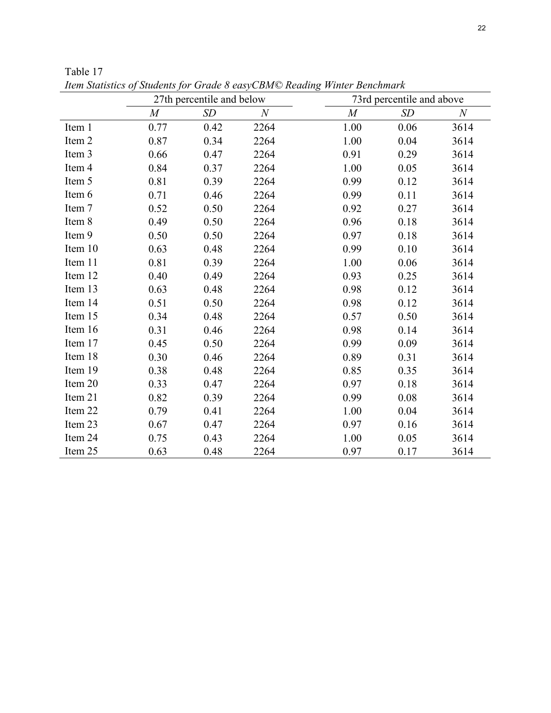|         | 27th percentile and below |      | 73rd percentile and above |                  |      |                  |
|---------|---------------------------|------|---------------------------|------------------|------|------------------|
|         | M                         | SD   | $\,N$                     | $\boldsymbol{M}$ | SD   | $\boldsymbol{N}$ |
| Item 1  | 0.77                      | 0.42 | 2264                      | 1.00             | 0.06 | 3614             |
| Item 2  | 0.87                      | 0.34 | 2264                      | 1.00             | 0.04 | 3614             |
| Item 3  | 0.66                      | 0.47 | 2264                      | 0.91             | 0.29 | 3614             |
| Item 4  | 0.84                      | 0.37 | 2264                      | 1.00             | 0.05 | 3614             |
| Item 5  | 0.81                      | 0.39 | 2264                      | 0.99             | 0.12 | 3614             |
| Item 6  | 0.71                      | 0.46 | 2264                      | 0.99             | 0.11 | 3614             |
| Item 7  | 0.52                      | 0.50 | 2264                      | 0.92             | 0.27 | 3614             |
| Item 8  | 0.49                      | 0.50 | 2264                      | 0.96             | 0.18 | 3614             |
| Item 9  | 0.50                      | 0.50 | 2264                      | 0.97             | 0.18 | 3614             |
| Item 10 | 0.63                      | 0.48 | 2264                      | 0.99             | 0.10 | 3614             |
| Item 11 | 0.81                      | 0.39 | 2264                      | 1.00             | 0.06 | 3614             |
| Item 12 | 0.40                      | 0.49 | 2264                      | 0.93             | 0.25 | 3614             |
| Item 13 | 0.63                      | 0.48 | 2264                      | 0.98             | 0.12 | 3614             |
| Item 14 | 0.51                      | 0.50 | 2264                      | 0.98             | 0.12 | 3614             |
| Item 15 | 0.34                      | 0.48 | 2264                      | 0.57             | 0.50 | 3614             |
| Item 16 | 0.31                      | 0.46 | 2264                      | 0.98             | 0.14 | 3614             |
| Item 17 | 0.45                      | 0.50 | 2264                      | 0.99             | 0.09 | 3614             |
| Item 18 | 0.30                      | 0.46 | 2264                      | 0.89             | 0.31 | 3614             |
| Item 19 | 0.38                      | 0.48 | 2264                      | 0.85             | 0.35 | 3614             |
| Item 20 | 0.33                      | 0.47 | 2264                      | 0.97             | 0.18 | 3614             |
| Item 21 | 0.82                      | 0.39 | 2264                      | 0.99             | 0.08 | 3614             |
| Item 22 | 0.79                      | 0.41 | 2264                      | 1.00             | 0.04 | 3614             |
| Item 23 | 0.67                      | 0.47 | 2264                      | 0.97             | 0.16 | 3614             |
| Item 24 | 0.75                      | 0.43 | 2264                      | 1.00             | 0.05 | 3614             |
| Item 25 | 0.63                      | 0.48 | 2264                      | 0.97             | 0.17 | 3614             |

Table 17 *Item Statistics of Students for Grade 8 easyCBM© Reading Winter Benchmark*